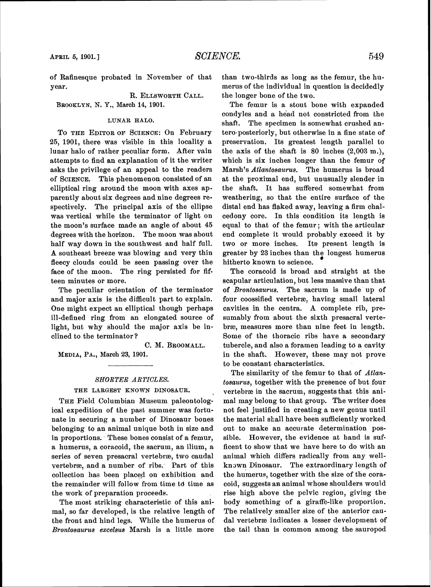of Rafinesque probated in November of that year.

# R. ELLSWORTH CALL.

BROOKLYN, N. Y., **Maroh 14, 1901.** 

# **LUNAR HALO.**

**To THE EDITOROF SCIENCE:**On February 25, 1901, there was visible in this locality a lunar halo of rather peculiar form. After vain attempts to find an explanation of it the writer asks the privilege of an appeal to the readers of **SCIENCE.** This phenomenon consisted of an elliptical ring around the moon with axes apparently about six degrees and nine degrees respectively. The principal axis of the ellipse was vertical while the terminator of light on the moon's surface made an angle of about 45 degrees with the horizon. The moon was about half way down in the southwest and half full. A southeast breeze was blowing and very thin fleecy clouds could be seen passing over the face of the moon. The ring persisted for fifteen minutes or more.

The peculiar orientation of the terminator and major axis is the difficult part to explain. One might expect an elliptical though perhaps ill-defined ring from an elongated source of light, but why should the major axis be inclined to the terminator?

**C. M. BROOMALL.** 

MEDIA, PA., March 23, 1901.

#### *SRIORTER ARTICLES.*

# **THE LAKGEST KNOWN DINOSAUR.**

**THE**Field Columbian Museum paleontological expedition of the past summer was fortunate in securing a number of Dinosaur bones belonging to an animal unique both in size and in proportions. These bones consist of a femur, a humerus, a coracoid, the sacrum, an ilium, a series of seven presacral vertebra, two caudal vertebra, and a number of ribs: Part of this collection has been placed on exhibition and the remainder will follow from time td time as the work of preparation proceeds.

The most striking characteristic of this animal, so far developed, is the relative length of the front and hind legs. While the humerns of Brontosaurus excelsua Marsh is a little more

than two-thirds as long as the femur, the humerus of the individual in question is decidedly the longer bone of the two.

The femur is a stout bone with expanded condyles and a head not constricted from the shaft. The specimen is somewhat crushed antero-posteriorly, but otherwise in a fine state of preservation. Its greatest length parallel to the axis of the shaft is 80 inches **(2,003** m.), which is six inches longer than the femur of Marsh's Atlanfosaurus. The humerus is broad at the proximal end, but unusually slender in the shaft. It has suffered somewhat from weathering, so that the entire surface of the distal end has flaked away, leaving a firm chalcedony core. In this condition its length is equal to that of the femur ; with the articular end complete it would probably exceed it by two or more inches. Its present length is greater by 23 inches than the longest humerus hitherto known to science.

The coracoid is broad and straight at the scapular articulation, but less massive than that of Brontosaurus. The sacrum is made up of four coossified vertebrae, having small lateral cavities in the centra. A complete rib, presumably from about the sixth presacral vertebre, measures more than nine feet in length, Some of the thoracic ribs have a secondary tubercle, and also a foramen leading to a cavity in the shaft. However, these may not prove to be constant characteristics.

The similarity of the femur to that of Atlantosaurus, together with the presence of but four vertebræ in the sacrum, suggests that this animal may belong to that group. The writer does not feel justified in creating a new genus until the material shall have been sufficiently worked out to make an accurate determination possible. However, the evidence at hand is sufficent to show that we have here to do with an animal which differs radically from any wellknown Dinosaur. The extraordinary length of the humerus, together with the size of the coracoid, suggests an animal whose shoulders would rise high above the pelvic region, giving the body something of a giraffe-like proportion. The relatively smaller size of the anterior caudal vertebra indicates a lesser development of the tail than is common among the sauropod